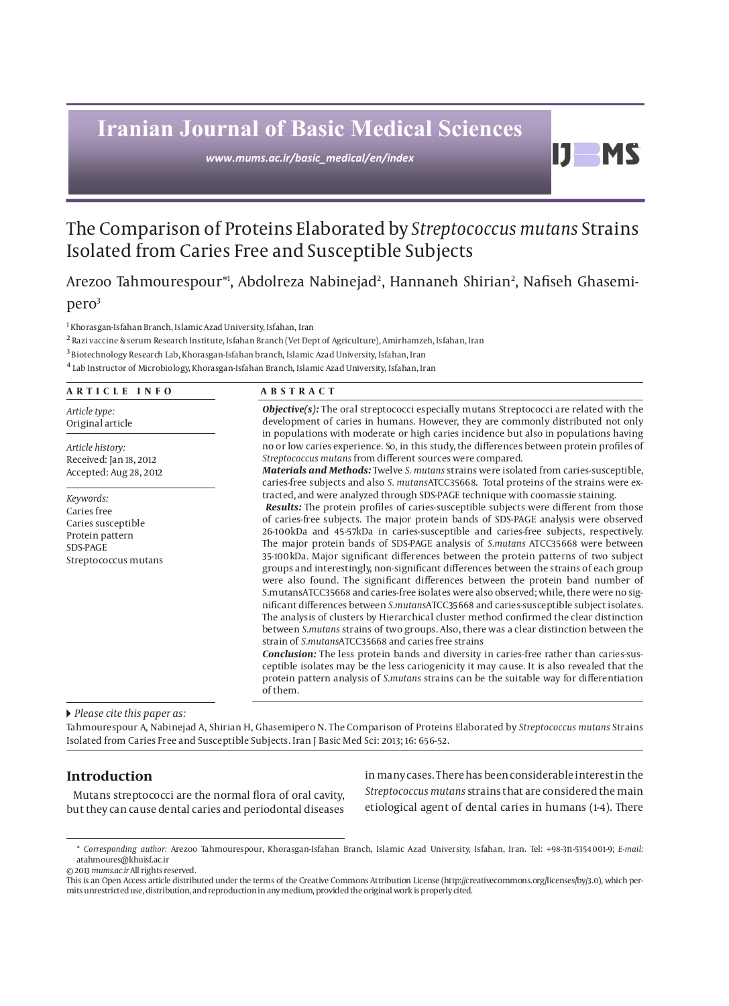# **Iranian Journal of Basic Medical Sciences**

*www.mums.ac.ir/basic\_medical/en/index*

# The Comparison of Proteins Elaborated by *Streptococcus mutans* Strains Isolated from Caries Free and Susceptible Subjects

Arezoo Tahmourespour\*', Abdolreza Nabinejad<sup>2</sup>, Hannaneh Shirian<sup>2</sup>, Nafiseh Ghasemi-

# pero3

 $^{\rm 1}$  Khorasgan-Isfahan Branch, Islamic Azad University, Isfahan, Iran

<sup>2</sup> Razi vaccine & serum Research Institute, Isfahan Branch (Vet Dept of Agriculture), Amirhamzeh, Isfahan, Iran

 $^3$  Biotechnology Research Lab, Khorasgan-Isfahan branch, Islamic Azad University, Isfahan, Iran

4 Lab Instructor of Microbiology, Khorasgan-Isfahan Branch, Islamic Azad University, Isfahan, Iran

# **ARTICLE INFO ABSTRACT**

*Article type:* Original article

*Article history:* Received: Jan 18, 2012 Accepted: Aug 28, 2012

*Keywords:* Caries free Caries susceptible Protein pattern SDS-PAGE Streptococcus mutans

*Objective(s):* The oral streptococci especially mutans Streptococci are related with the development of caries in humans. However, they are commonly distributed not only in populations with moderate or high caries incidence but also in populations having no or low caries experience. So, in this study, the differences between protein profiles of *Streptococcus mutans* from different sources were compared.

DI

**MS** 

*Materials and Methods:* Twelve *S. mutans* strains were isolated from caries-susceptible, caries-free subjects and also *S. mutans*ATCC35668. Total proteins of the strains were extracted, and were analyzed through SDS-PAGE technique with coomassie staining.

*Results:* The protein profiles of caries-susceptible subjects were different from those of caries-free subjects. The major protein bands of SDS-PAGE analysis were observed 26-100kDa and 45-57kDa in caries-susceptible and caries-free subjects, respectively. The major protein bands of SDS-PAGE analysis of *S.mutans* ATCC35668 were between 35-100kDa. Major significant differences between the protein patterns of two subject groups and interestingly, non-significant differences between the strains of each group were also found. The significant differences between the protein band number of S.mutansATCC35668 and caries-free isolates were also observed; while, there were no significant differences between *S.mutans*ATCC35668 and caries-susceptible subject isolates. The analysis of clusters by Hierarchical cluster method confirmed the clear distinction between *S.mutans* strains of two groups. Also, there was a clear distinction between the strain of *S.mutans*ATCC35668 and caries free strains

*Conclusion:* The less protein bands and diversity in caries-free rather than caries-susceptible isolates may be the less cariogenicity it may cause. It is also revealed that the protein pattern analysis of *S.mutans* strains can be the suitable way for differentiation of them.

# *Please cite this paper as:*

Tahmourespour A, Nabinejad A, Shirian H, Ghasemipero N. The Comparison of Proteins Elaborated by *Streptococcus mutans* Strains Isolated from Caries Free and Susceptible Subjects. Iran J Basic Med Sci: 2013; 16: 656-52.

# **Introduction**

Mutans streptococci are the normal flora of oral cavity, but they can cause dental caries and periodontal diseases in many cases. There has been considerable interest in the *Streptococcus mutans* strains that are considered the main etiological agent of dental caries in humans (1-4). There

© 2013 *mums.ac.ir* All rights reserved.

<sup>\*</sup> *Corresponding author:* Arezoo Tahmourespour, Khorasgan-Isfahan Branch, Islamic Azad University, Isfahan, Iran. Tel: +98-311-5354001-9; *E-mail:*  atahmoures@khuisf.ac.ir

This is an Open Access article distributed under the terms of the Creative Commons Attribution License (http://creativecommons.org/licenses/by/3.0), which permits unrestricted use, distribution, and reproduction in any medium, provided the original work is properly cited.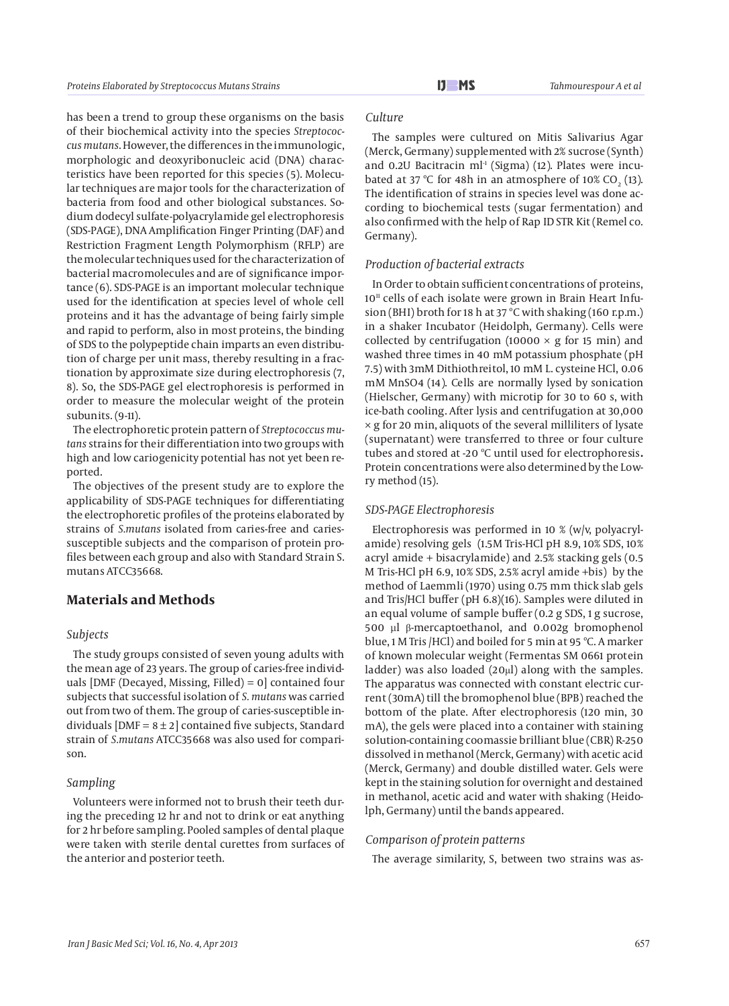has been a trend to group these organisms on the basis of their biochemical activity into the species *Streptococcus mutans*. However, the differences in the immunologic, morphologic and deoxyribonucleic acid (DNA) characteristics have been reported for this species (5). Molecular techniques are major tools for the characterization of bacteria from food and other biological substances. Sodium dodecyl sulfate-polyacrylamide gel electrophoresis (SDS-PAGE), DNA Amplification Finger Printing (DAF) and Restriction Fragment Length Polymorphism (RFLP) are the molecular techniques used for the characterization of bacterial macromolecules and are of significance importance (6). SDS-PAGE is an important molecular technique used for the identification at species level of whole cell proteins and it has the advantage of being fairly simple and rapid to perform, also in most proteins, the binding of SDS to the polypeptide chain imparts an even distribution of charge per unit mass, thereby resulting in a fractionation by approximate size during electrophoresis (7, 8). So, the SDS-PAGE gel electrophoresis is performed in order to measure the molecular weight of the protein subunits. (9-11).

The electrophoretic protein pattern of *Streptococcus mutans* strains for their differentiation into two groups with high and low cariogenicity potential has not yet been reported.

The objectives of the present study are to explore the applicability of SDS-PAGE techniques for differentiating the electrophoretic profiles of the proteins elaborated by strains of *S.mutans* isolated from caries-free and cariessusceptible subjects and the comparison of protein profiles between each group and also with Standard Strain S. mutans ATCC35668.

# **Materials and Methods**

# *Subjects*

The study groups consisted of seven young adults with the mean age of 23 years. The group of caries-free individuals [DMF (Decayed, Missing, Filled) = 0] contained four subjects that successful isolation of *S. mutans* was carried out from two of them. The group of caries-susceptible individuals  $[DMF = 8 \pm 2]$  contained five subjects, Standard strain of *S.mutans* ATCC35668 was also used for comparison.

# *Sampling*

Volunteers were informed not to brush their teeth during the preceding 12 hr and not to drink or eat anything for 2 hr before sampling. Pooled samples of dental plaque were taken with sterile dental curettes from surfaces of the anterior and posterior teeth.

# *Culture*

The samples were cultured on Mitis Salivarius Agar (Merck, Germany) supplemented with 2% sucrose (Synth) and 0.2U Bacitracin  $ml<sup>1</sup>$  (Sigma) (12). Plates were incubated at 37 °C for 48h in an atmosphere of 10% CO<sub>2</sub> (13). The identification of strains in species level was done according to biochemical tests (sugar fermentation) and also confirmed with the help of Rap ID STR Kit (Remel co. Germany).

#### *Production of bacterial extracts*

In Order to obtain sufficient concentrations of proteins,  $10<sup>11</sup>$  cells of each isolate were grown in Brain Heart Infusion (BHI) broth for 18 h at 37 ºC with shaking (160 r.p.m.) in a shaker Incubator (Heidolph, Germany). Cells were collected by centrifugation (10000  $\times$  g for 15 min) and washed three times in 40 mM potassium phosphate (pH 7.5) with 3mM Dithiothreitol, 10 mM L. cysteine HCl, 0.06 mM MnSO4 (14). Cells are normally lysed by sonication (Hielscher, Germany) with microtip for 30 to 60 s, with ice-bath cooling. After lysis and centrifugation at 30,000  $\times$  g for 20 min, aliquots of the several milliliters of lysate (supernatant) were transferred to three or four culture tubes and stored at -20 ºC until used for electrophoresis*.* Protein concentrations were also determined by the Lowry method (15).

# *SDS-PAGE Electrophoresis*

Electrophoresis was performed in 10 % (w/v, polyacrylamide) resolving gels (1.5M Tris-HCl pH 8.9, 10% SDS, 10% acryl amide + bisacrylamide) and 2.5% stacking gels (0.5 M Tris-HCl pH 6.9, 10% SDS, 2.5% acryl amide +bis) by the method of Laemmli (1970) using 0.75 mm thick slab gels and Tris/HCl buffer (pH 6.8)(16). Samples were diluted in an equal volume of sample buffer (0.2 g SDS, 1 g sucrose, 500 µl β-mercaptoethanol, and 0.002g bromophenol blue, 1 M Tris /HCl) and boiled for 5 min at 95 ºC. A marker of known molecular weight (Fermentas SM 0661 protein ladder) was also loaded (20μl) along with the samples. The apparatus was connected with constant electric current (30mA) till the bromophenol blue (BPB) reached the bottom of the plate. After electrophoresis (120 min, 30 mA), the gels were placed into a container with staining solution-containing coomassie brilliant blue (CBR) R-250 dissolved in methanol (Merck, Germany) with acetic acid (Merck, Germany) and double distilled water. Gels were kept in the staining solution for overnight and destained in methanol, acetic acid and water with shaking (Heidolph, Germany) until the bands appeared.

# *Comparison of protein patterns*

The average similarity, S, between two strains was as-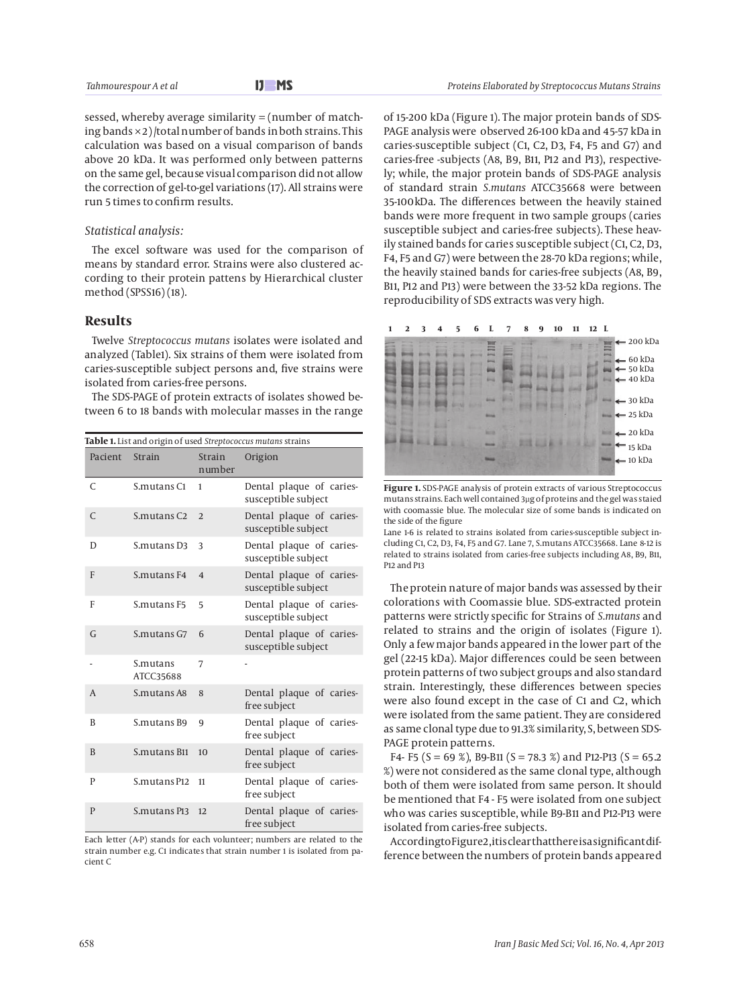sessed, whereby average similarity  $=$  (number of matching bands  $\times$  2)/total number of bands in both strains. This calculation was based on a visual comparison of bands above 20 kDa. It was performed only between patterns on the same gel, because visual comparison did not allow the correction of gel-to-gel variations (17). All strains were run 5 times to confirm results.

#### *Statistical analysis:*

The excel software was used for the comparison of means by standard error. Strains were also clustered according to their protein pattens by Hierarchical cluster method (SPSS16) (18).

# **Results**

Twelve *Streptococcus mutans* isolates were isolated and analyzed (Table1). Six strains of them were isolated from caries-susceptible subject persons and, five strains were isolated from caries-free persons.

The SDS-PAGE of protein extracts of isolates showed between 6 to 18 bands with molecular masses in the range

| Table 1. List and origin of used Streptococcus mutans strains |                        |                         |                                                 |
|---------------------------------------------------------------|------------------------|-------------------------|-------------------------------------------------|
| Pacient                                                       | Strain                 | <b>Strain</b><br>number | Origion                                         |
| $\mathcal{C}$                                                 | S.mutans <sub>C1</sub> | 1                       | Dental plaque of caries-<br>susceptible subject |
| $\mathsf{C}$                                                  | S.mutans <sub>C2</sub> | 2                       | Dental plaque of caries-<br>susceptible subject |
| D                                                             | S.mutans D3            | 3                       | Dental plaque of caries-<br>susceptible subject |
| F                                                             | S.mutans F4            | $\overline{4}$          | Dental plaque of caries-<br>susceptible subject |
| F                                                             | S.mutans F5            | 5                       | Dental plaque of caries-<br>susceptible subject |
| $\mathsf{G}$                                                  | S.mutans G7            | 6                       | Dental plaque of caries-<br>susceptible subject |
|                                                               | S.mutans<br>ATCC35688  | 7                       |                                                 |
| $\overline{A}$                                                | S.mutans A8            | 8                       | Dental plaque of caries-<br>free subject        |
| B                                                             | S.mutans B9            | 9                       | Dental plaque of caries-<br>free subject        |
| B                                                             | S.mutans B11           | 10 <sup>10</sup>        | Dental plaque of caries-<br>free subject        |
| P                                                             | S.mutans P12           | 11                      | Dental plaque of caries-<br>free subject        |
| $\mathbf{P}$                                                  | S.mutans P13           | 12.                     | Dental plaque of caries-<br>free subject        |

Each letter (A-P) stands for each volunteer; numbers are related to the strain number e.g. C1 indicates that strain number 1 is isolated from pacient C

of 15-200 kDa (Figure 1). The major protein bands of SDS-PAGE analysis were observed 26-100 kDa and 45-57 kDa in caries-susceptible subject (C1, C2, D3, F4, F5 and G7) and caries-free -subjects (A8, B9, B11, P12 and P13), respectively; while, the major protein bands of SDS-PAGE analysis of standard strain *S.mutans* ATCC35668 were between 35-100kDa. The differences between the heavily stained bands were more frequent in two sample groups (caries susceptible subject and caries-free subjects). These heavily stained bands for caries susceptible subject (C1, C2, D3, F4, F5 and G7) were between the 28-70 kDa regions; while, the heavily stained bands for caries-free subjects (A8, B9, B11, P12 and P13) were between the 33-52 kDa regions. The reproducibility of SDS extracts was very high.



**Figure 1.** SDS-PAGE analysis of protein extracts of various Streptococcus mutans strains. Each well contained 3µg of proteins and the gel was staied with coomassie blue. The molecular size of some bands is indicated on the side of the figure

Lane 1-6 is related to strains isolated from caries-susceptible subject including C1, C2, D3, F4, F5 and G7. Lane 7, S.mutans ATCC35668. Lane 8-12 is related to strains isolated from caries-free subjects including A8, B9, B11, P12 and P13

The protein nature of major bands was assessed by their colorations with Coomassie blue. SDS-extracted protein patterns were strictly specific for Strains of *S.mutans* and related to strains and the origin of isolates (Figure 1). Only a few major bands appeared in the lower part of the gel (22-15 kDa). Major differences could be seen between protein patterns of two subject groups and also standard strain. Interestingly, these differences between species were also found except in the case of C1 and C2, which were isolated from the same patient. They are considered as same clonal type due to 91.3% similarity, S, between SDS-PAGE protein patterns.

F4- F5 (S = 69 %), B9-B11 (S = 78.3 %) and P12-P13 (S = 65.2 %) were not considered as the same clonal type, although both of them were isolated from same person. It should be mentioned that F4 - F5 were isolated from one subject who was caries susceptible, while B9-B11 and P12-P13 were isolated from caries-free subjects.

According to Figure 2, it is clear that there is a significant difference between the numbers of protein bands appeared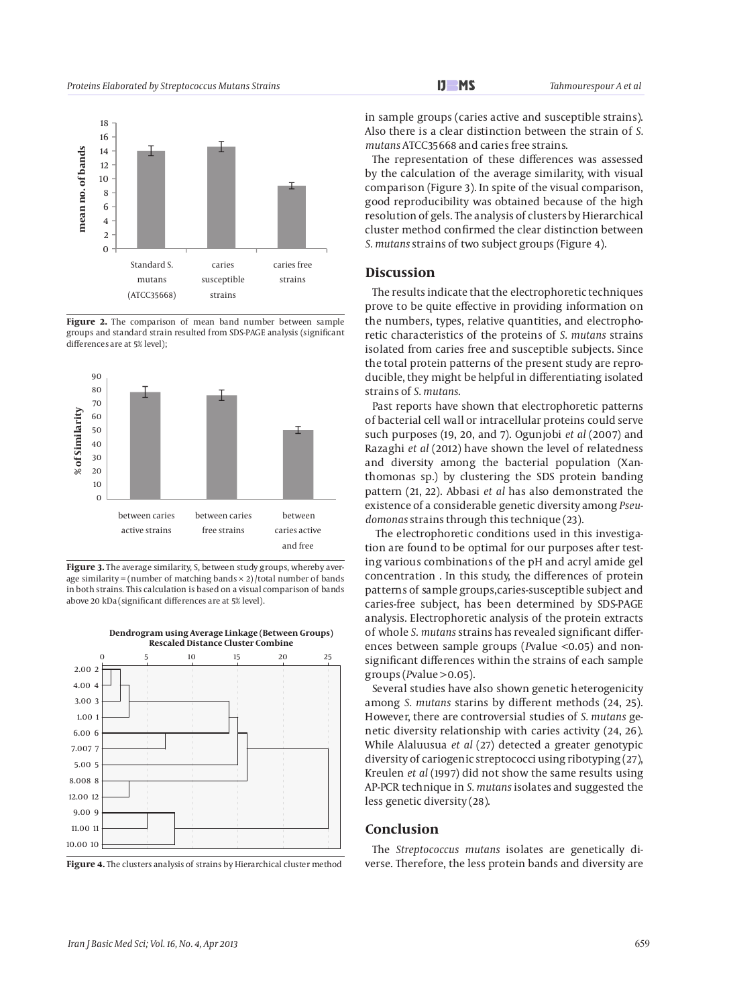

Figure 2. The comparison of mean band number between sample groups and standard strain resulted from SDS-PAGE analysis (significant differences are at 5% level);



Figure 3. The average similarity, S, between study groups, whereby average similarity = (number of matching bands  $\times$  2) /total number of bands in both strains. This calculation is based on a visual comparison of bands above 20 kDa (significant differences are at 5% level).







in sample groups (caries active and susceptible strains). Also there is a clear distinction between the strain of *S. mutans* ATCC35668 and caries free strains.

The representation of these differences was assessed by the calculation of the average similarity, with visual comparison (Figure 3). In spite of the visual comparison, good reproducibility was obtained because of the high resolution of gels. The analysis of clusters by Hierarchical cluster method confirmed the clear distinction between *S. mutans* strains of two subject groups (Figure 4).

# **Discussion**

The results indicate that the electrophoretic techniques prove to be quite effective in providing information on the numbers, types, relative quantities, and electrophoretic characteristics of the proteins of *S. mutans* strains isolated from caries free and susceptible subjects. Since the total protein patterns of the present study are reproducible, they might be helpful in differentiating isolated strains of *S. mutans*.

Past reports have shown that electrophoretic patterns of bacterial cell wall or intracellular proteins could serve such purposes (19, 20, and 7). Ogunjobi *et al* (2007) and Razaghi *et al* (2012) have shown the level of relatedness and diversity among the bacterial population (Xanthomonas sp.) by clustering the SDS protein banding pattern (21, 22). Abbasi *et al* has also demonstrated the existence of a considerable genetic diversity among *Pseudomonas* strains through this technique (23).

 The electrophoretic conditions used in this investigation are found to be optimal for our purposes after testing various combinations of the pH and acryl amide gel concentration . In this study, the differences of protein patterns of sample groups,caries-susceptible subject and caries-free subject, has been determined by SDS-PAGE analysis. Electrophoretic analysis of the protein extracts of whole *S. mutans* strains has revealed significant differences between sample groups (*P*value <0.05) and nonsignificant differences within the strains of each sample groups (*P*value >0.05).

Several studies have also shown genetic heterogenicity among *S. mutans* starins by different methods (24, 25). However, there are controversial studies of *S. mutans* genetic diversity relationship with caries activity (24, 26). While Alaluusua *et al* (27) detected a greater genotypic diversity of cariogenic streptococci using ribotyping (27), Kreulen *et al* (1997) did not show the same results using AP-PCR technique in *S. mutans* isolates and suggested the less genetic diversity (28).

# **Conclusion**

The *Streptococcus mutans* isolates are genetically diverse. Therefore, the less protein bands and diversity are